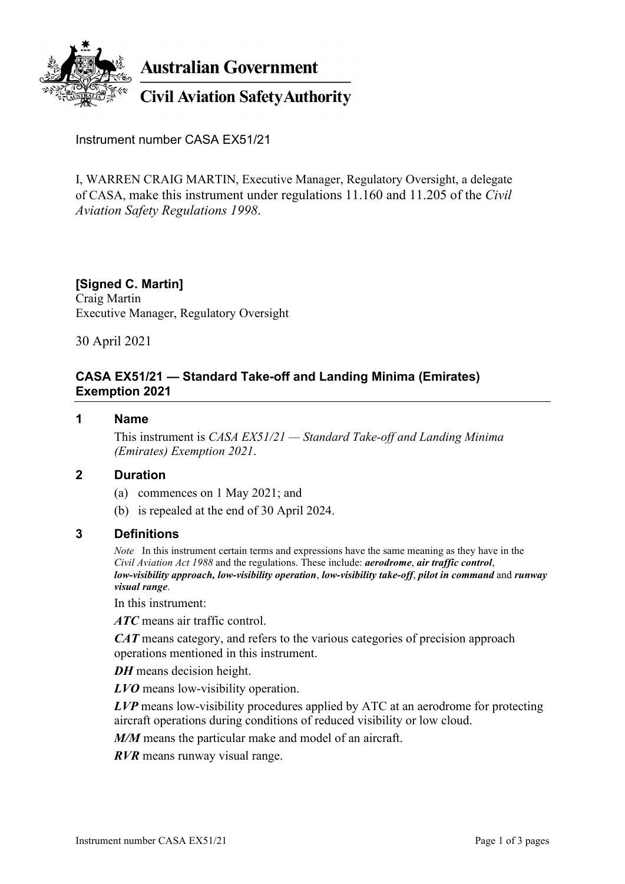

**Civil Aviation Safety Authority** 

Instrument number CASA EX51/21

I, WARREN CRAIG MARTIN, Executive Manager, Regulatory Oversight, a delegate of CASA, make this instrument under regulations 11.160 and 11.205 of the *Civil Aviation Safety Regulations 1998*.

# **[Signed C. Martin]**

Craig Martin Executive Manager, Regulatory Oversight

30 April 2021

## **CASA EX51/21 — Standard Take-off and Landing Minima (Emirates) Exemption 2021**

#### **1 Name**

This instrument is *CASA EX51/21 — Standard Take-off and Landing Minima (Emirates) Exemption 2021*.

#### **2 Duration**

- (a) commences on 1 May 2021; and
- (b) is repealed at the end of 30 April 2024.

#### **3 Definitions**

*Note* In this instrument certain terms and expressions have the same meaning as they have in the *Civil Aviation Act 1988* and the regulations. These include: *aerodrome*, *air traffic control*, *low-visibility approach, low-visibility operation*, *low-visibility take-off*, *pilot in command* and *runway visual range*.

In this instrument:

*ATC* means air traffic control.

*CAT* means category, and refers to the various categories of precision approach operations mentioned in this instrument.

*DH* means decision height.

*LVO* means low-visibility operation.

*LVP* means low-visibility procedures applied by ATC at an aerodrome for protecting aircraft operations during conditions of reduced visibility or low cloud.

*M/M* means the particular make and model of an aircraft.

*RVR* means runway visual range.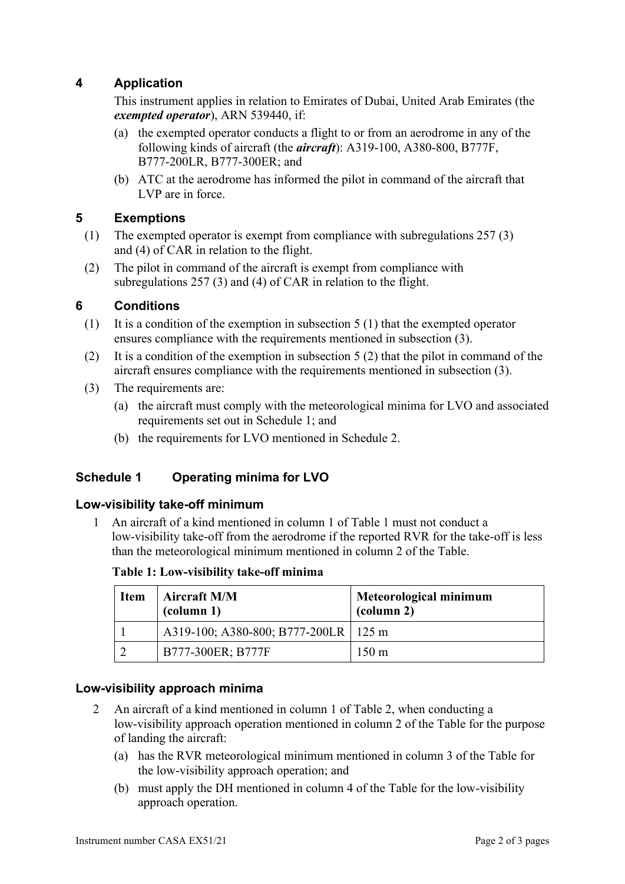## **4 Application**

This instrument applies in relation to Emirates of Dubai, United Arab Emirates (the *exempted operator*), ARN 539440, if:

- (a) the exempted operator conducts a flight to or from an aerodrome in any of the following kinds of aircraft (the *aircraft*): A319-100, A380-800, B777F, B777-200LR, B777-300ER; and
- (b) ATC at the aerodrome has informed the pilot in command of the aircraft that LVP are in force.

### **5 Exemptions**

- (1) The exempted operator is exempt from compliance with subregulations 257 (3) and (4) of CAR in relation to the flight.
- (2) The pilot in command of the aircraft is exempt from compliance with subregulations 257 (3) and (4) of CAR in relation to the flight.

### **6 Conditions**

- (1) It is a condition of the exemption in subsection 5 (1) that the exempted operator ensures compliance with the requirements mentioned in subsection (3).
- (2) It is a condition of the exemption in subsection 5 (2) that the pilot in command of the aircraft ensures compliance with the requirements mentioned in subsection (3).
- (3) The requirements are:
	- (a) the aircraft must comply with the meteorological minima for LVO and associated requirements set out in Schedule 1; and
	- (b) the requirements for LVO mentioned in Schedule 2.

## **Schedule 1 Operating minima for LVO**

### **Low-visibility take-off minimum**

1 An aircraft of a kind mentioned in column 1 of Table 1 must not conduct a low-visibility take-off from the aerodrome if the reported RVR for the take-off is less than the meteorological minimum mentioned in column 2 of the Table.

**Table 1: Low-visibility take-off minima**

| <b>Item</b> | <b>Aircraft M/M</b><br>$\text{(column 1)}$ | Meteorological minimum<br>$\alpha$ (column 2) |
|-------------|--------------------------------------------|-----------------------------------------------|
|             | A319-100; A380-800; B777-200LR   125 m     |                                               |
|             | B777-300ER; B777F                          | $150 \text{ m}$                               |

### **Low-visibility approach minima**

- 2 An aircraft of a kind mentioned in column 1 of Table 2, when conducting a low-visibility approach operation mentioned in column 2 of the Table for the purpose of landing the aircraft:
	- (a) has the RVR meteorological minimum mentioned in column 3 of the Table for the low-visibility approach operation; and
	- (b) must apply the DH mentioned in column 4 of the Table for the low-visibility approach operation.